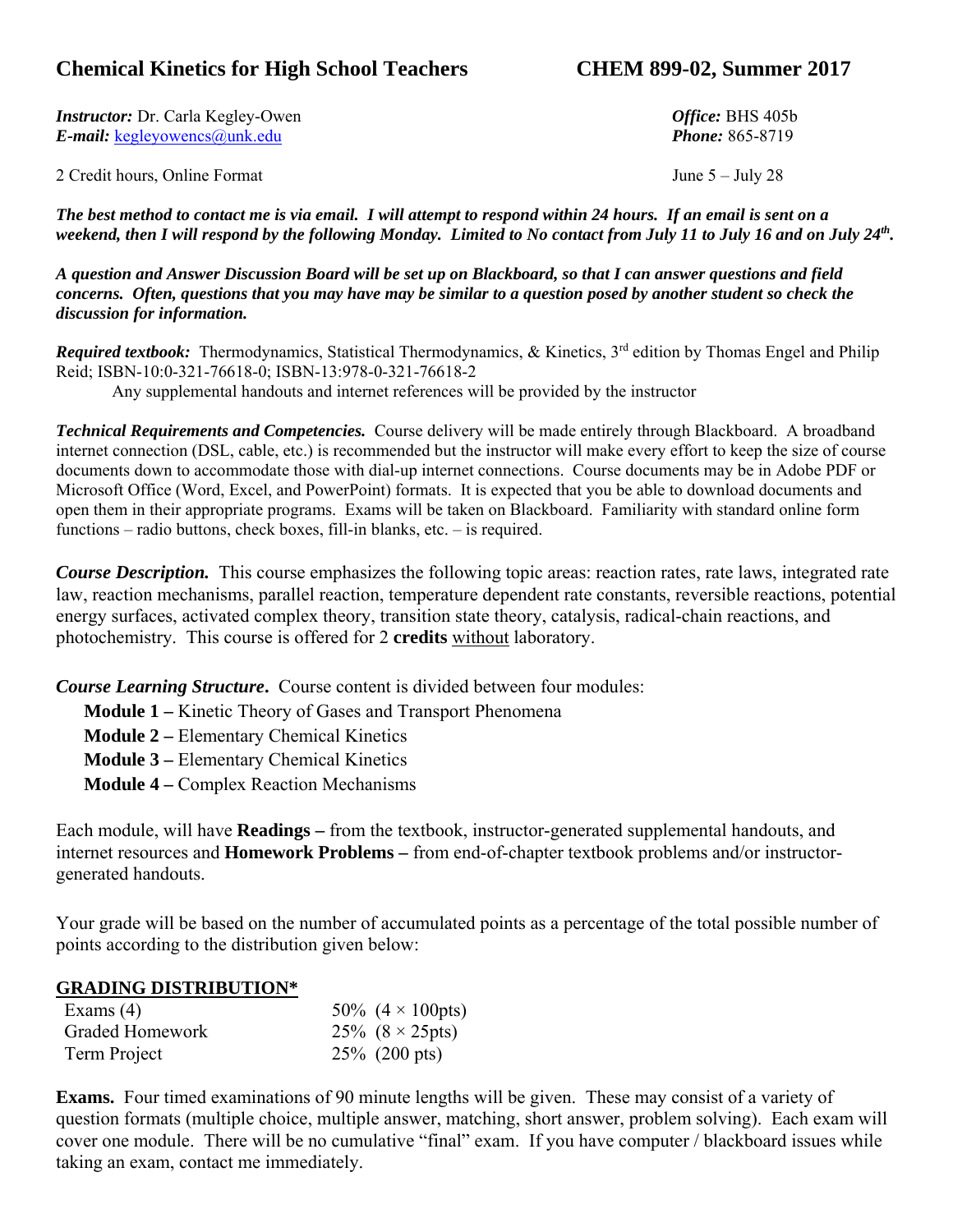### **Chemical Kinetics for High School Teachers CHEM 899-02, Summer 2017**

*Instructor:* Dr. Carla Kegley-Owen *Office:* BHS 405b *E-mail:* kegleyowencs@unk.edu *Phone:* 865-8719

2 Credit hours, Online Format June 5 – July 28

*The best method to contact me is via email. I will attempt to respond within 24 hours. If an email is sent on a*  weekend, then I will respond by the following Monday. Limited to No contact from July 11 to July 16 and on July 24<sup>th</sup>.

*A question and Answer Discussion Board will be set up on Blackboard, so that I can answer questions and field concerns. Often, questions that you may have may be similar to a question posed by another student so check the discussion for information.* 

*Required textbook:* Thermodynamics, Statistical Thermodynamics, & Kinetics, 3<sup>rd</sup> edition by Thomas Engel and Philip Reid; ISBN-10:0-321-76618-0; ISBN-13:978-0-321-76618-2

Any supplemental handouts and internet references will be provided by the instructor

*Technical Requirements and Competencies.* Course delivery will be made entirely through Blackboard. A broadband internet connection (DSL, cable, etc.) is recommended but the instructor will make every effort to keep the size of course documents down to accommodate those with dial-up internet connections. Course documents may be in Adobe PDF or Microsoft Office (Word, Excel, and PowerPoint) formats. It is expected that you be able to download documents and open them in their appropriate programs. Exams will be taken on Blackboard. Familiarity with standard online form functions – radio buttons, check boxes, fill-in blanks, etc. – is required.

*Course Description.* This course emphasizes the following topic areas: reaction rates, rate laws, integrated rate law, reaction mechanisms, parallel reaction, temperature dependent rate constants, reversible reactions, potential energy surfaces, activated complex theory, transition state theory, catalysis, radical-chain reactions, and photochemistry. This course is offered for 2 **credits** without laboratory.

*Course Learning Structure***.** Course content is divided between four modules:

**Module 1 –** Kinetic Theory of Gases and Transport Phenomena

**Module 2 –** Elementary Chemical Kinetics

**Module 3 –** Elementary Chemical Kinetics

**Module 4 –** Complex Reaction Mechanisms

Each module, will have **Readings –** from the textbook, instructor-generated supplemental handouts, and internet resources and **Homework Problems –** from end-of-chapter textbook problems and/or instructorgenerated handouts.

Your grade will be based on the number of accumulated points as a percentage of the total possible number of points according to the distribution given below:

#### **GRADING DISTRIBUTION\***

| Exams $(4)$     | 50\% $(4 \times 100 \text{pts})$ |
|-----------------|----------------------------------|
| Graded Homework | 25% $(8 \times 25 \text{pts})$   |
| Term Project    | $25\%$ (200 pts)                 |

**Exams.** Four timed examinations of 90 minute lengths will be given. These may consist of a variety of question formats (multiple choice, multiple answer, matching, short answer, problem solving). Each exam will cover one module. There will be no cumulative "final" exam. If you have computer / blackboard issues while taking an exam, contact me immediately.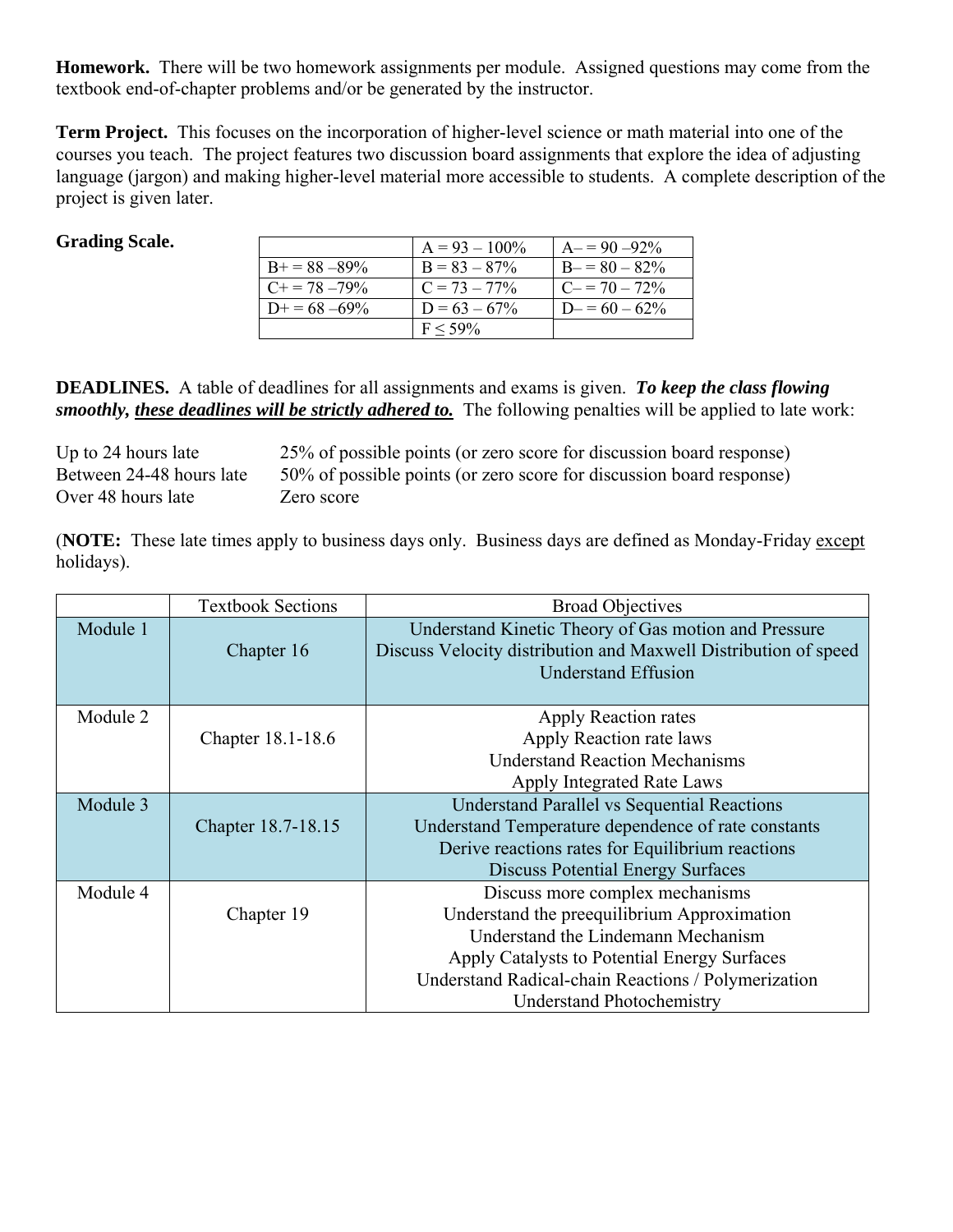**Homework.** There will be two homework assignments per module. Assigned questions may come from the textbook end-of-chapter problems and/or be generated by the instructor.

**Term Project.** This focuses on the incorporation of higher-level science or math material into one of the courses you teach. The project features two discussion board assignments that explore the idea of adjusting language (jargon) and making higher-level material more accessible to students. A complete description of the project is given later.

#### **Grading Scale.**

|                       | $A = 93 - 100\%$ | $A = 90 - 92\%$ |
|-----------------------|------------------|-----------------|
| $B_{+} = 88 - 89\%$   | $B = 83 - 87\%$  | $B = 80 - 82\%$ |
| $C_{\pm} = 78 - 79\%$ | $C = 73 - 77\%$  | $C = 70 - 72\%$ |
| $D_{+} = 68 - 69\%$   | $D = 63 - 67\%$  | $D = 60 - 62\%$ |
|                       | $F \le 59\%$     |                 |

**DEADLINES.** A table of deadlines for all assignments and exams is given. *To keep the class flowing smoothly, these deadlines will be strictly adhered to.* The following penalties will be applied to late work:

Over 48 hours late Zero score

Up to 24 hours late 25% of possible points (or zero score for discussion board response) Between 24-48 hours late 50% of possible points (or zero score for discussion board response)

(**NOTE:** These late times apply to business days only. Business days are defined as Monday-Friday except holidays).

|          | <b>Textbook Sections</b> | <b>Broad Objectives</b>                                         |  |
|----------|--------------------------|-----------------------------------------------------------------|--|
| Module 1 |                          | Understand Kinetic Theory of Gas motion and Pressure            |  |
|          | Chapter 16               | Discuss Velocity distribution and Maxwell Distribution of speed |  |
|          |                          | <b>Understand Effusion</b>                                      |  |
|          |                          |                                                                 |  |
| Module 2 |                          | Apply Reaction rates                                            |  |
|          | Chapter 18.1-18.6        | Apply Reaction rate laws                                        |  |
|          |                          | <b>Understand Reaction Mechanisms</b>                           |  |
|          |                          | Apply Integrated Rate Laws                                      |  |
| Module 3 |                          | <b>Understand Parallel vs Sequential Reactions</b>              |  |
|          | Chapter 18.7-18.15       | Understand Temperature dependence of rate constants             |  |
|          |                          | Derive reactions rates for Equilibrium reactions                |  |
|          |                          | <b>Discuss Potential Energy Surfaces</b>                        |  |
| Module 4 |                          | Discuss more complex mechanisms                                 |  |
|          | Chapter 19               | Understand the preequilibrium Approximation                     |  |
|          |                          | Understand the Lindemann Mechanism                              |  |
|          |                          | Apply Catalysts to Potential Energy Surfaces                    |  |
|          |                          | Understand Radical-chain Reactions / Polymerization             |  |
|          |                          | <b>Understand Photochemistry</b>                                |  |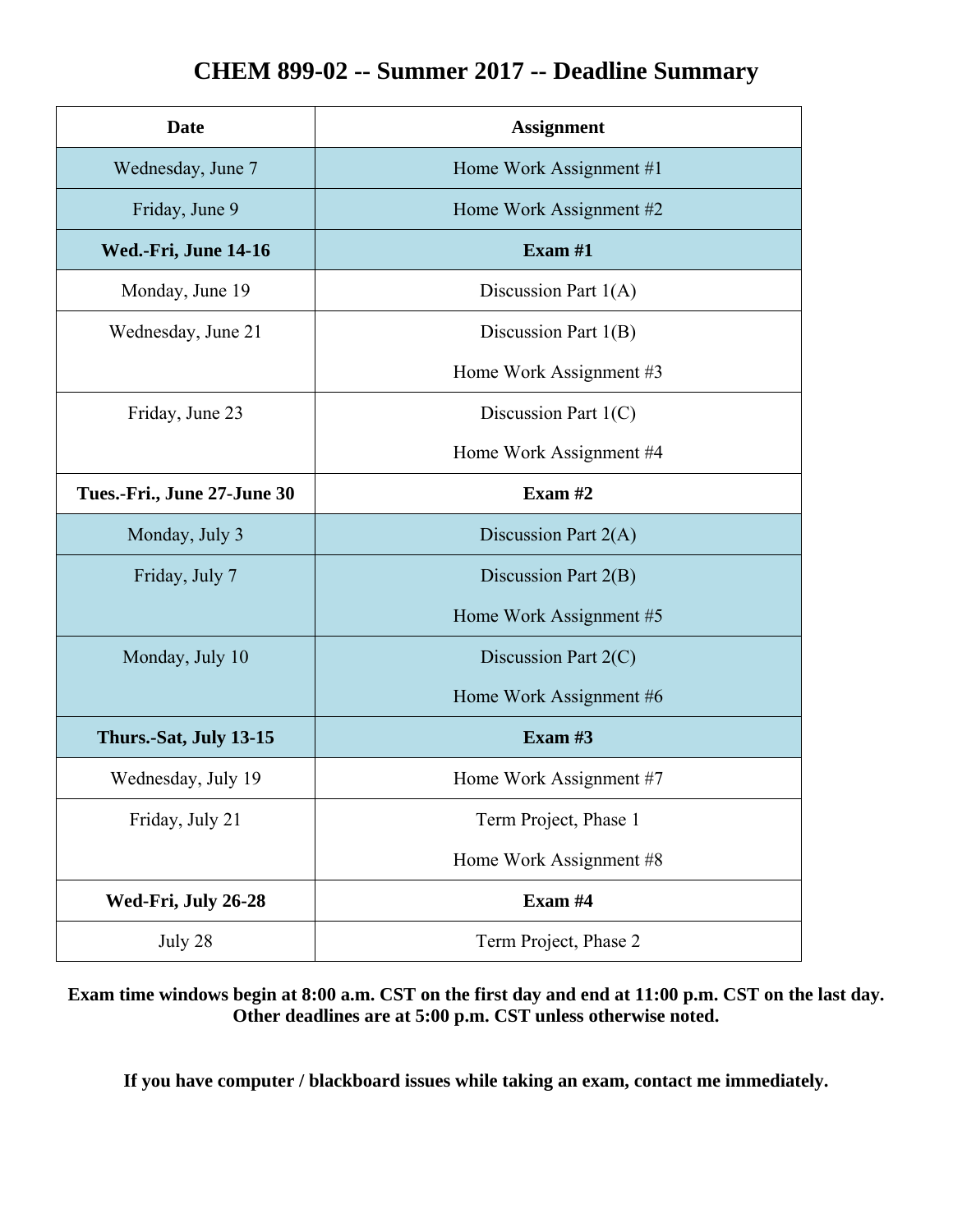# **CHEM 899-02 -- Summer 2017 -- Deadline Summary**

| <b>Date</b>                 | <b>Assignment</b>       |  |
|-----------------------------|-------------------------|--|
| Wednesday, June 7           | Home Work Assignment #1 |  |
| Friday, June 9              | Home Work Assignment #2 |  |
| Wed.-Fri, June 14-16        | Exam $#1$               |  |
| Monday, June 19             | Discussion Part $1(A)$  |  |
| Wednesday, June 21          | Discussion Part $1(B)$  |  |
|                             | Home Work Assignment #3 |  |
| Friday, June 23             | Discussion Part $1(C)$  |  |
|                             | Home Work Assignment #4 |  |
| Tues.-Fri., June 27-June 30 | Exam $#2$               |  |
| Monday, July 3              | Discussion Part $2(A)$  |  |
| Friday, July 7              | Discussion Part $2(B)$  |  |
|                             | Home Work Assignment #5 |  |
| Monday, July 10             | Discussion Part $2(C)$  |  |
|                             | Home Work Assignment #6 |  |
| Thurs.-Sat, July 13-15      | Exam $#3$               |  |
| Wednesday, July 19          | Home Work Assignment #7 |  |
| Friday, July 21             | Term Project, Phase 1   |  |
|                             | Home Work Assignment #8 |  |
| Wed-Fri, July 26-28         | Exam #4                 |  |
| July 28                     | Term Project, Phase 2   |  |

**Exam time windows begin at 8:00 a.m. CST on the first day and end at 11:00 p.m. CST on the last day. Other deadlines are at 5:00 p.m. CST unless otherwise noted.** 

**If you have computer / blackboard issues while taking an exam, contact me immediately.**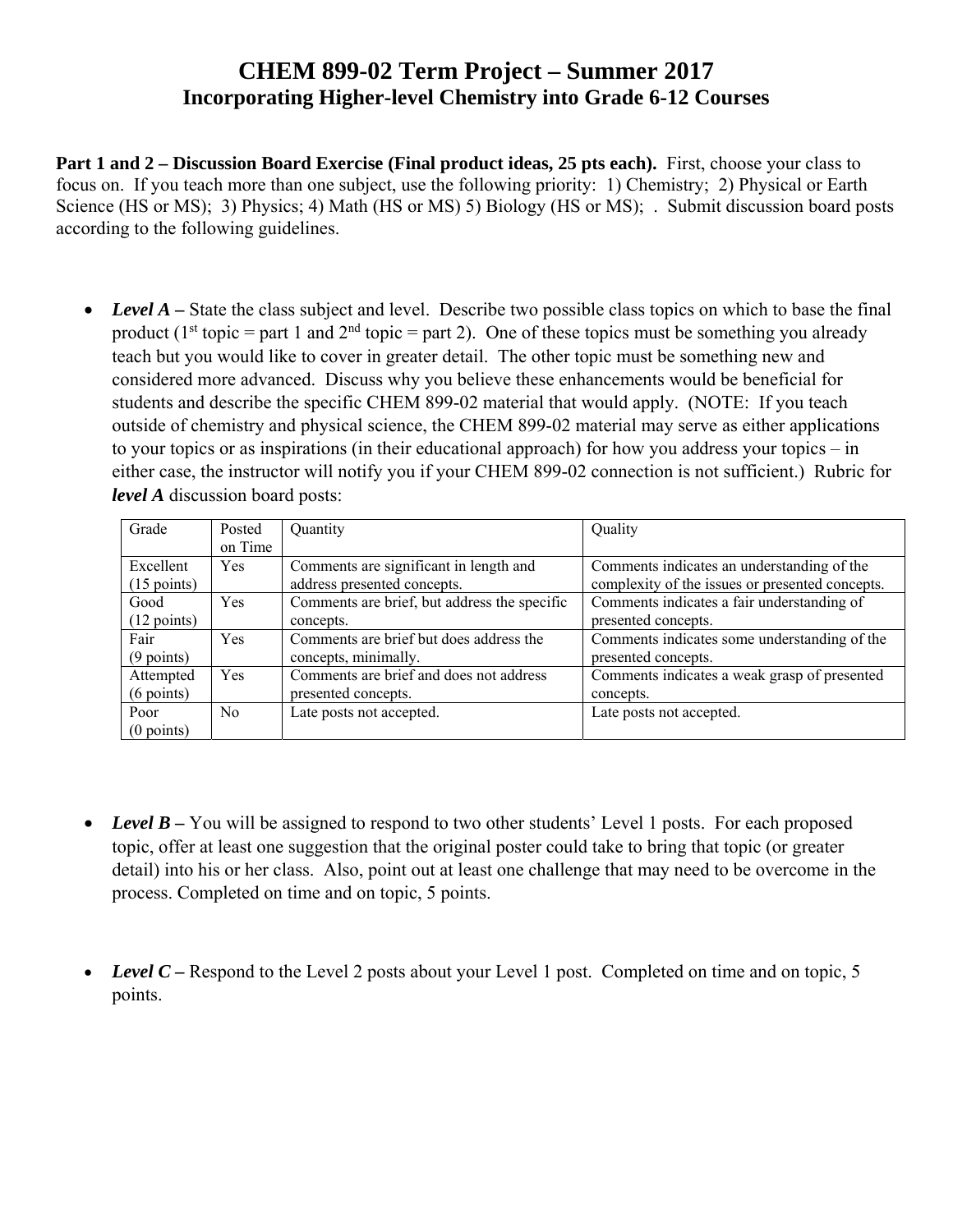## **CHEM 899-02 Term Project – Summer 2017 Incorporating Higher-level Chemistry into Grade 6-12 Courses**

**Part 1 and 2 – Discussion Board Exercise (Final product ideas, 25 pts each).** First, choose your class to focus on. If you teach more than one subject, use the following priority: 1) Chemistry; 2) Physical or Earth Science (HS or MS); 3) Physics; 4) Math (HS or MS) 5) Biology (HS or MS); . Submit discussion board posts according to the following guidelines.

• Level A – State the class subject and level. Describe two possible class topics on which to base the final product ( $1<sup>st</sup>$  topic = part 1 and  $2<sup>nd</sup>$  topic = part 2). One of these topics must be something you already teach but you would like to cover in greater detail. The other topic must be something new and considered more advanced. Discuss why you believe these enhancements would be beneficial for students and describe the specific CHEM 899-02 material that would apply. (NOTE: If you teach outside of chemistry and physical science, the CHEM 899-02 material may serve as either applications to your topics or as inspirations (in their educational approach) for how you address your topics – in either case, the instructor will notify you if your CHEM 899-02 connection is not sufficient.) Rubric for *level A* discussion board posts:

| Grade                 | Posted         | Quantity                                     | Quality                                         |
|-----------------------|----------------|----------------------------------------------|-------------------------------------------------|
|                       | on Time        |                                              |                                                 |
| Excellent             | Yes            | Comments are significant in length and       | Comments indicates an understanding of the      |
| $(15 \text{ points})$ |                | address presented concepts.                  | complexity of the issues or presented concepts. |
| Good                  | Yes            | Comments are brief, but address the specific | Comments indicates a fair understanding of      |
| $(12 \text{ points})$ |                | concepts.                                    | presented concepts.                             |
| Fair                  | <b>Yes</b>     | Comments are brief but does address the      | Comments indicates some understanding of the    |
| $(9$ points)          |                | concepts, minimally.                         | presented concepts.                             |
| Attempted             | Yes            | Comments are brief and does not address      | Comments indicates a weak grasp of presented    |
| $(6$ points)          |                | presented concepts.                          | concepts.                                       |
| Poor                  | N <sub>0</sub> | Late posts not accepted.                     | Late posts not accepted.                        |
| $(0$ points)          |                |                                              |                                                 |

- *Level B –* You will be assigned to respond to two other students' Level 1 posts. For each proposed topic, offer at least one suggestion that the original poster could take to bring that topic (or greater detail) into his or her class. Also, point out at least one challenge that may need to be overcome in the process. Completed on time and on topic, 5 points.
- *Level C* Respond to the Level 2 posts about your Level 1 post. Completed on time and on topic, 5 points.